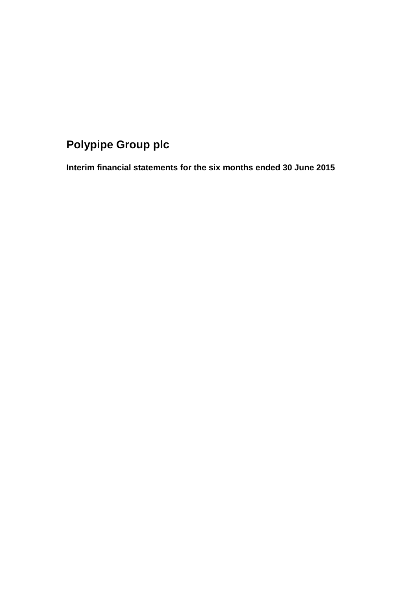# **Polypipe Group plc**

**Interim financial statements for the six months ended 30 June 2015**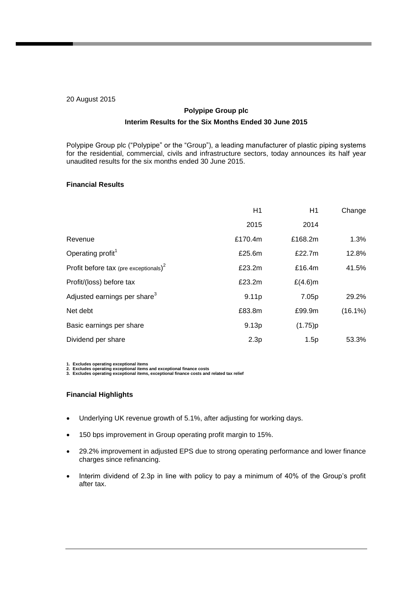### 20 August 2015

## **Polypipe Group plc Interim Results for the Six Months Ended 30 June 2015**

Polypipe Group plc ("Polypipe" or the "Group"), a leading manufacturer of plastic piping systems for the residential, commercial, civils and infrastructure sectors, today announces its half year unaudited results for the six months ended 30 June 2015.

## **Financial Results**

|                                                   | H1      | H1         | Change     |
|---------------------------------------------------|---------|------------|------------|
|                                                   | 2015    | 2014       |            |
| Revenue                                           | £170.4m | £168.2m    | 1.3%       |
| Operating profit <sup>1</sup>                     | £25.6m  | £22.7m     | 12.8%      |
| Profit before tax (pre exceptionals) <sup>2</sup> | £23.2m  | £16.4m     | 41.5%      |
| Profit/(loss) before tax                          | £23.2m  | $£(4.6)$ m |            |
| Adjusted earnings per share <sup>3</sup>          | 9.11p   | 7.05p      | 29.2%      |
| Net debt                                          | £83.8m  | £99.9m     | $(16.1\%)$ |
| Basic earnings per share                          | 9.13p   | (1.75)p    |            |
| Dividend per share                                | 2.3p    | 1.5p       | 53.3%      |

1. Excludes operating exceptional items<br>2. Excludes operating exceptional items and exceptional finance costs<br>3. Excludes operating exceptional items, exceptional finance costs and related tax relief

### **Financial Highlights**

- Underlying UK revenue growth of 5.1%, after adjusting for working days.
- 150 bps improvement in Group operating profit margin to 15%.
- 29.2% improvement in adjusted EPS due to strong operating performance and lower finance charges since refinancing.
- Interim dividend of 2.3p in line with policy to pay a minimum of 40% of the Group's profit after tax.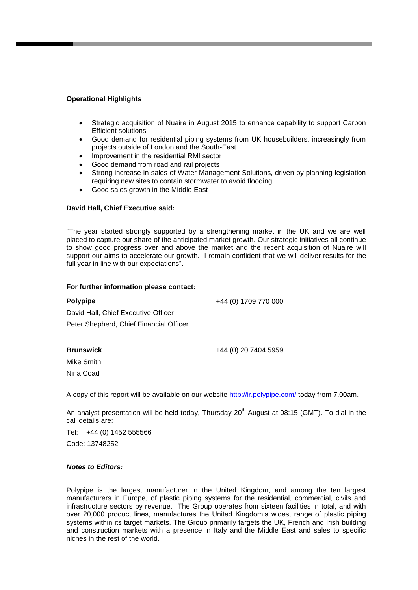### **Operational Highlights**

- Strategic acquisition of Nuaire in August 2015 to enhance capability to support Carbon Efficient solutions
- Good demand for residential piping systems from UK housebuilders, increasingly from projects outside of London and the South-East
- Improvement in the residential RMI sector
- Good demand from road and rail projects
- Strong increase in sales of Water Management Solutions, driven by planning legislation requiring new sites to contain stormwater to avoid flooding
- Good sales growth in the Middle East

#### **David Hall, Chief Executive said:**

"The year started strongly supported by a strengthening market in the UK and we are well placed to capture our share of the anticipated market growth. Our strategic initiatives all continue to show good progress over and above the market and the recent acquisition of Nuaire will support our aims to accelerate our growth. I remain confident that we will deliver results for the full year in line with our expectations".

#### **For further information please contact:**

| <b>Polypipe</b>                         | +44 (0) 1709 770 000 |
|-----------------------------------------|----------------------|
| David Hall, Chief Executive Officer     |                      |
| Peter Shepherd, Chief Financial Officer |                      |

#### **Brunswick**

+44 (0) 20 7404 5959

Mike Smith Nina Coad

A copy of this report will be available on our website<http://ir.polypipe.com/> today from 7.00am.

An analyst presentation will be held today, Thursday  $20<sup>th</sup>$  August at 08:15 (GMT). To dial in the call details are:

Tel: +44 (0) 1452 555566 Code: 13748252

#### *Notes to Editors:*

Polypipe is the largest manufacturer in the United Kingdom, and among the ten largest manufacturers in Europe, of plastic piping systems for the residential, commercial, civils and infrastructure sectors by revenue. The Group operates from sixteen facilities in total, and with over 20,000 product lines, manufactures the United Kingdom's widest range of plastic piping systems within its target markets. The Group primarily targets the UK, French and Irish building and construction markets with a presence in Italy and the Middle East and sales to specific niches in the rest of the world.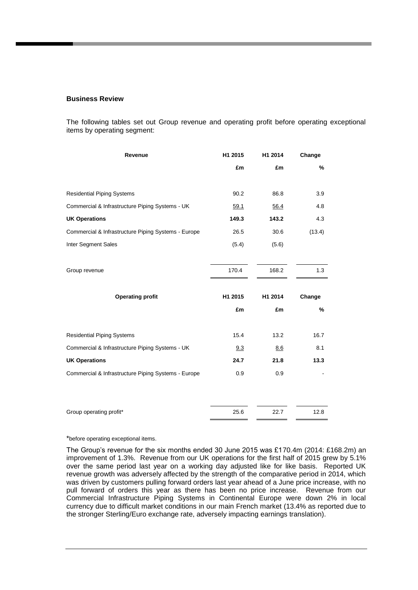#### **Business Review**

The following tables set out Group revenue and operating profit before operating exceptional items by operating segment:

| Revenue                                             | H1 2015 | H1 2014 | Change |
|-----------------------------------------------------|---------|---------|--------|
|                                                     | £m      | £m      | $\%$   |
| <b>Residential Piping Systems</b>                   | 90.2    | 86.8    | 3.9    |
| Commercial & Infrastructure Piping Systems - UK     | 59.1    | 56.4    | 4.8    |
| <b>UK Operations</b>                                | 149.3   | 143.2   | 4.3    |
| Commercial & Infrastructure Piping Systems - Europe | 26.5    | 30.6    | (13.4) |
| Inter Segment Sales                                 | (5.4)   | (5.6)   |        |
|                                                     |         |         |        |
| Group revenue                                       | 170.4   | 168.2   | 1.3    |
|                                                     |         |         |        |
| <b>Operating profit</b>                             | H1 2015 | H1 2014 | Change |
|                                                     | £m      | £m      | %      |
| <b>Residential Piping Systems</b>                   | 15.4    | 13.2    | 16.7   |
| Commercial & Infrastructure Piping Systems - UK     | 9.3     | 8.6     | 8.1    |
| <b>UK Operations</b>                                | 24.7    | 21.8    | 13.3   |
| Commercial & Infrastructure Piping Systems - Europe | 0.9     | 0.9     |        |
|                                                     |         |         |        |
|                                                     |         |         |        |

\*before operating exceptional items.

The Group's revenue for the six months ended 30 June 2015 was £170.4m (2014: £168.2m) an improvement of 1.3%. Revenue from our UK operations for the first half of 2015 grew by 5.1% over the same period last year on a working day adjusted like for like basis. Reported UK revenue growth was adversely affected by the strength of the comparative period in 2014, which was driven by customers pulling forward orders last year ahead of a June price increase, with no pull forward of orders this year as there has been no price increase. Revenue from our Commercial Infrastructure Piping Systems in Continental Europe were down 2% in local currency due to difficult market conditions in our main French market (13.4% as reported due to the stronger Sterling/Euro exchange rate, adversely impacting earnings translation).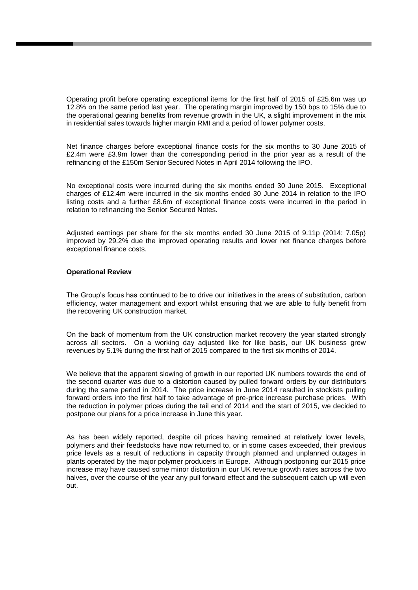Operating profit before operating exceptional items for the first half of 2015 of £25.6m was up 12.8% on the same period last year. The operating margin improved by 150 bps to 15% due to the operational gearing benefits from revenue growth in the UK, a slight improvement in the mix in residential sales towards higher margin RMI and a period of lower polymer costs.

Net finance charges before exceptional finance costs for the six months to 30 June 2015 of £2.4m were £3.9m lower than the corresponding period in the prior year as a result of the refinancing of the £150m Senior Secured Notes in April 2014 following the IPO.

No exceptional costs were incurred during the six months ended 30 June 2015. Exceptional charges of £12.4m were incurred in the six months ended 30 June 2014 in relation to the IPO listing costs and a further £8.6m of exceptional finance costs were incurred in the period in relation to refinancing the Senior Secured Notes.

Adjusted earnings per share for the six months ended 30 June 2015 of 9.11p (2014: 7.05p) improved by 29.2% due the improved operating results and lower net finance charges before exceptional finance costs.

#### **Operational Review**

The Group's focus has continued to be to drive our initiatives in the areas of substitution, carbon efficiency, water management and export whilst ensuring that we are able to fully benefit from the recovering UK construction market.

On the back of momentum from the UK construction market recovery the year started strongly across all sectors. On a working day adjusted like for like basis, our UK business grew revenues by 5.1% during the first half of 2015 compared to the first six months of 2014.

We believe that the apparent slowing of growth in our reported UK numbers towards the end of the second quarter was due to a distortion caused by pulled forward orders by our distributors during the same period in 2014. The price increase in June 2014 resulted in stockists pulling forward orders into the first half to take advantage of pre-price increase purchase prices. With the reduction in polymer prices during the tail end of 2014 and the start of 2015, we decided to postpone our plans for a price increase in June this year.

As has been widely reported, despite oil prices having remained at relatively lower levels, polymers and their feedstocks have now returned to, or in some cases exceeded, their previous price levels as a result of reductions in capacity through planned and unplanned outages in plants operated by the major polymer producers in Europe. Although postponing our 2015 price increase may have caused some minor distortion in our UK revenue growth rates across the two halves, over the course of the year any pull forward effect and the subsequent catch up will even out.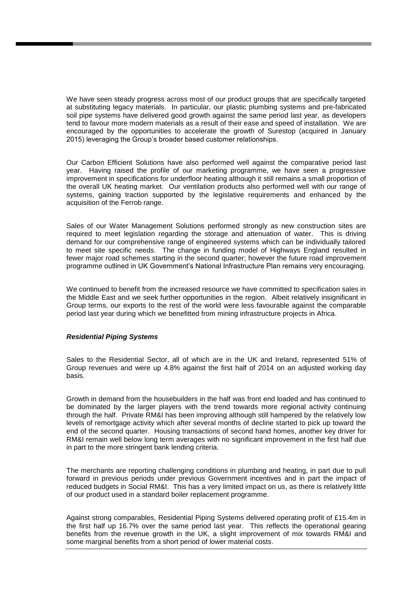We have seen steady progress across most of our product groups that are specifically targeted at substituting legacy materials. In particular, our plastic plumbing systems and pre-fabricated soil pipe systems have delivered good growth against the same period last year, as developers tend to favour more modern materials as a result of their ease and speed of installation. We are encouraged by the opportunities to accelerate the growth of Surestop (acquired in January 2015) leveraging the Group's broader based customer relationships.

Our Carbon Efficient Solutions have also performed well against the comparative period last year. Having raised the profile of our marketing programme, we have seen a progressive improvement in specifications for underfloor heating although it still remains a small proportion of the overall UK heating market. Our ventilation products also performed well with our range of systems, gaining traction supported by the legislative requirements and enhanced by the acquisition of the Ferrob range.

Sales of our Water Management Solutions performed strongly as new construction sites are required to meet legislation regarding the storage and attenuation of water. This is driving demand for our comprehensive range of engineered systems which can be individually tailored to meet site specific needs. The change in funding model of Highways England resulted in fewer major road schemes starting in the second quarter; however the future road improvement programme outlined in UK Government's National Infrastructure Plan remains very encouraging.

We continued to benefit from the increased resource we have committed to specification sales in the Middle East and we seek further opportunities in the region. Albeit relatively insignificant in Group terms, our exports to the rest of the world were less favourable against the comparable period last year during which we benefitted from mining infrastructure projects in Africa.

#### *Residential Piping Systems*

Sales to the Residential Sector, all of which are in the UK and Ireland, represented 51% of Group revenues and were up 4.8% against the first half of 2014 on an adjusted working day basis.

Growth in demand from the housebuilders in the half was front end loaded and has continued to be dominated by the larger players with the trend towards more regional activity continuing through the half. Private RM&I has been improving although still hampered by the relatively low levels of remortgage activity which after several months of decline started to pick up toward the end of the second quarter. Housing transactions of second hand homes, another key driver for RM&I remain well below long term averages with no significant improvement in the first half due in part to the more stringent bank lending criteria.

The merchants are reporting challenging conditions in plumbing and heating, in part due to pull forward in previous periods under previous Government incentives and in part the impact of reduced budgets in Social RM&I. This has a very limited impact on us, as there is relatively little of our product used in a standard boiler replacement programme.

Against strong comparables, Residential Piping Systems delivered operating profit of £15.4m in the first half up 16.7% over the same period last year. This reflects the operational gearing benefits from the revenue growth in the UK, a slight improvement of mix towards RM&I and some marginal benefits from a short period of lower material costs.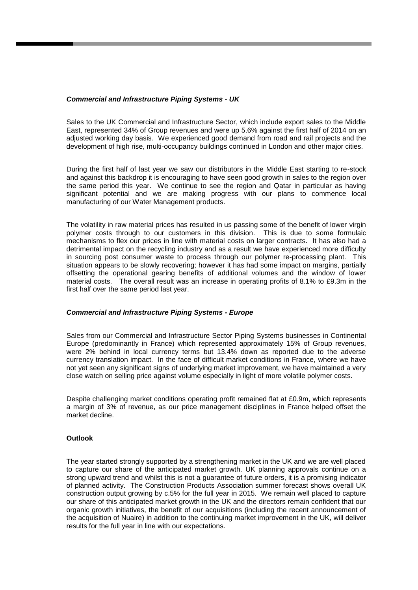### *Commercial and Infrastructure Piping Systems - UK*

Sales to the UK Commercial and Infrastructure Sector, which include export sales to the Middle East, represented 34% of Group revenues and were up 5.6% against the first half of 2014 on an adjusted working day basis. We experienced good demand from road and rail projects and the development of high rise, multi-occupancy buildings continued in London and other major cities.

During the first half of last year we saw our distributors in the Middle East starting to re-stock and against this backdrop it is encouraging to have seen good growth in sales to the region over the same period this year. We continue to see the region and Qatar in particular as having significant potential and we are making progress with our plans to commence local manufacturing of our Water Management products.

The volatility in raw material prices has resulted in us passing some of the benefit of lower virgin polymer costs through to our customers in this division. This is due to some formulaic mechanisms to flex our prices in line with material costs on larger contracts. It has also had a detrimental impact on the recycling industry and as a result we have experienced more difficulty in sourcing post consumer waste to process through our polymer re-processing plant. This situation appears to be slowly recovering; however it has had some impact on margins, partially offsetting the operational gearing benefits of additional volumes and the window of lower material costs. The overall result was an increase in operating profits of 8.1% to £9.3m in the first half over the same period last year.

#### *Commercial and Infrastructure Piping Systems - Europe*

Sales from our Commercial and Infrastructure Sector Piping Systems businesses in Continental Europe (predominantly in France) which represented approximately 15% of Group revenues, were 2% behind in local currency terms but 13.4% down as reported due to the adverse currency translation impact. In the face of difficult market conditions in France, where we have not yet seen any significant signs of underlying market improvement, we have maintained a very close watch on selling price against volume especially in light of more volatile polymer costs.

Despite challenging market conditions operating profit remained flat at £0.9m, which represents a margin of 3% of revenue, as our price management disciplines in France helped offset the market decline.

## **Outlook**

The year started strongly supported by a strengthening market in the UK and we are well placed to capture our share of the anticipated market growth. UK planning approvals continue on a strong upward trend and whilst this is not a guarantee of future orders, it is a promising indicator of planned activity. The Construction Products Association summer forecast shows overall UK construction output growing by c.5% for the full year in 2015. We remain well placed to capture our share of this anticipated market growth in the UK and the directors remain confident that our organic growth initiatives, the benefit of our acquisitions (including the recent announcement of the acquisition of Nuaire) in addition to the continuing market improvement in the UK, will deliver results for the full year in line with our expectations.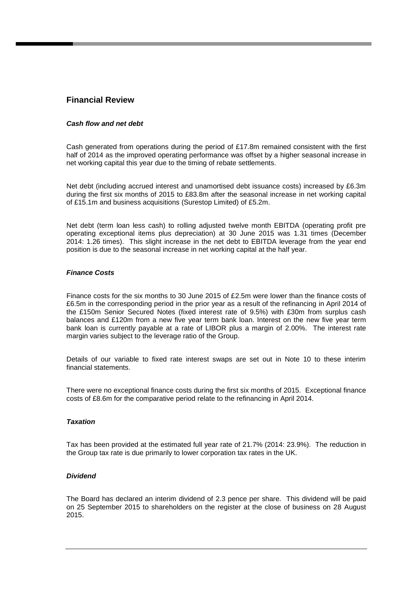## **Financial Review**

#### *Cash flow and net debt*

Cash generated from operations during the period of £17.8m remained consistent with the first half of 2014 as the improved operating performance was offset by a higher seasonal increase in net working capital this year due to the timing of rebate settlements.

Net debt (including accrued interest and unamortised debt issuance costs) increased by £6.3m during the first six months of 2015 to £83.8m after the seasonal increase in net working capital of £15.1m and business acquisitions (Surestop Limited) of £5.2m.

Net debt (term loan less cash) to rolling adjusted twelve month EBITDA (operating profit pre operating exceptional items plus depreciation) at 30 June 2015 was 1.31 times (December 2014: 1.26 times). This slight increase in the net debt to EBITDA leverage from the year end position is due to the seasonal increase in net working capital at the half year.

### *Finance Costs*

Finance costs for the six months to 30 June 2015 of £2.5m were lower than the finance costs of £6.5m in the corresponding period in the prior year as a result of the refinancing in April 2014 of the £150m Senior Secured Notes (fixed interest rate of 9.5%) with £30m from surplus cash balances and £120m from a new five year term bank loan. Interest on the new five year term bank loan is currently payable at a rate of LIBOR plus a margin of 2.00%. The interest rate margin varies subject to the leverage ratio of the Group.

Details of our variable to fixed rate interest swaps are set out in Note 10 to these interim financial statements.

There were no exceptional finance costs during the first six months of 2015. Exceptional finance costs of £8.6m for the comparative period relate to the refinancing in April 2014.

#### *Taxation*

Tax has been provided at the estimated full year rate of 21.7% (2014: 23.9%). The reduction in the Group tax rate is due primarily to lower corporation tax rates in the UK.

#### *Dividend*

The Board has declared an interim dividend of 2.3 pence per share. This dividend will be paid on 25 September 2015 to shareholders on the register at the close of business on 28 August 2015.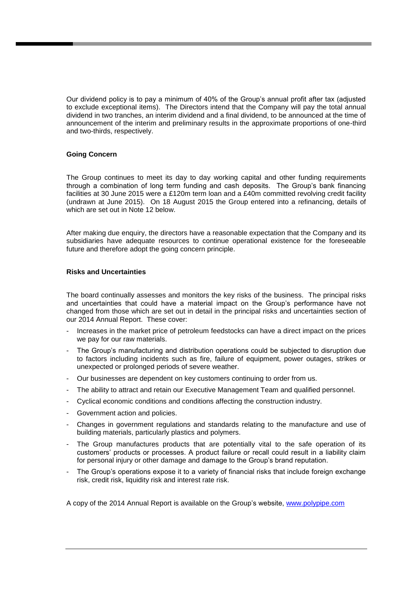Our dividend policy is to pay a minimum of 40% of the Group's annual profit after tax (adjusted to exclude exceptional items). The Directors intend that the Company will pay the total annual dividend in two tranches, an interim dividend and a final dividend, to be announced at the time of announcement of the interim and preliminary results in the approximate proportions of one-third and two-thirds, respectively.

#### **Going Concern**

The Group continues to meet its day to day working capital and other funding requirements through a combination of long term funding and cash deposits. The Group's bank financing facilities at 30 June 2015 were a £120m term loan and a £40m committed revolving credit facility (undrawn at June 2015). On 18 August 2015 the Group entered into a refinancing, details of which are set out in Note 12 below.

After making due enquiry, the directors have a reasonable expectation that the Company and its subsidiaries have adequate resources to continue operational existence for the foreseeable future and therefore adopt the going concern principle.

### **Risks and Uncertainties**

The board continually assesses and monitors the key risks of the business. The principal risks and uncertainties that could have a material impact on the Group's performance have not changed from those which are set out in detail in the principal risks and uncertainties section of our 2014 Annual Report. These cover:

- Increases in the market price of petroleum feedstocks can have a direct impact on the prices we pay for our raw materials.
- The Group's manufacturing and distribution operations could be subjected to disruption due to factors including incidents such as fire, failure of equipment, power outages, strikes or unexpected or prolonged periods of severe weather.
- Our businesses are dependent on key customers continuing to order from us.
- The ability to attract and retain our Executive Management Team and qualified personnel.
- Cyclical economic conditions and conditions affecting the construction industry.
- Government action and policies.
- Changes in government regulations and standards relating to the manufacture and use of building materials, particularly plastics and polymers.
- The Group manufactures products that are potentially vital to the safe operation of its customers' products or processes. A product failure or recall could result in a liability claim for personal injury or other damage and damage to the Group's brand reputation.
- The Group's operations expose it to a variety of financial risks that include foreign exchange risk, credit risk, liquidity risk and interest rate risk.

A copy of the 2014 Annual Report is available on the Group's website, [www.polypipe.com](http://www.polypipe.com/)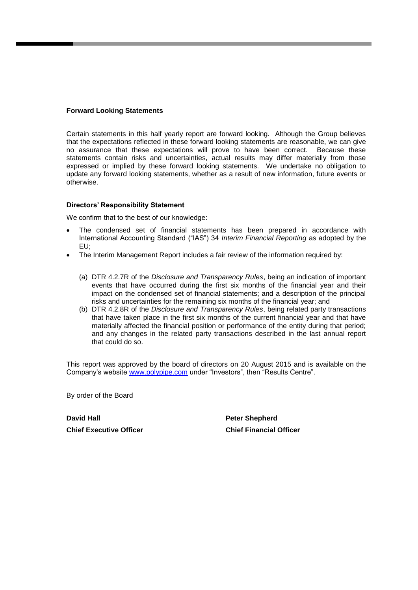### **Forward Looking Statements**

Certain statements in this half yearly report are forward looking. Although the Group believes that the expectations reflected in these forward looking statements are reasonable, we can give no assurance that these expectations will prove to have been correct. Because these statements contain risks and uncertainties, actual results may differ materially from those expressed or implied by these forward looking statements. We undertake no obligation to update any forward looking statements, whether as a result of new information, future events or otherwise.

### **Directors' Responsibility Statement**

We confirm that to the best of our knowledge:

- The condensed set of financial statements has been prepared in accordance with International Accounting Standard ("IAS") 34 *Interim Financial Reporting* as adopted by the EU;
- The Interim Management Report includes a fair review of the information required by:
	- (a) DTR 4.2.7R of the *Disclosure and Transparency Rules*, being an indication of important events that have occurred during the first six months of the financial year and their impact on the condensed set of financial statements; and a description of the principal risks and uncertainties for the remaining six months of the financial year; and
	- (b) DTR 4.2.8R of the *Disclosure and Transparency Rules*, being related party transactions that have taken place in the first six months of the current financial year and that have materially affected the financial position or performance of the entity during that period; and any changes in the related party transactions described in the last annual report that could do so.

This report was approved by the board of directors on 20 August 2015 and is available on the Company's website [www.polypipe.com](http://www.polypipe.com/) under "Investors", then "Results Centre".

By order of the Board

**David Hall Peter Shepherd Chief Executive Officer Chief Financial Officer**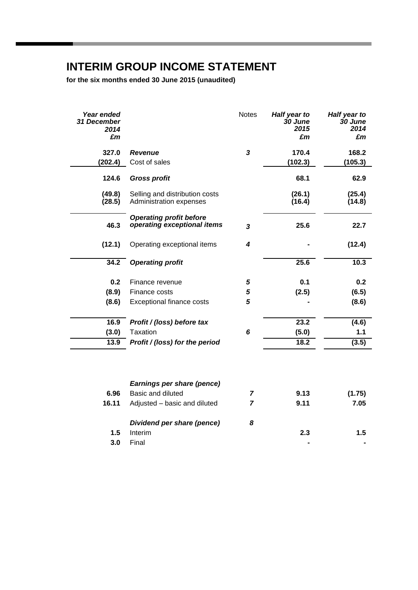## **INTERIM GROUP INCOME STATEMENT**

**for the six months ended 30 June 2015 (unaudited)**

| Year ended<br>31 December<br>2014<br>£m |                                | <b>Notes</b>            | Half year to<br>30 June<br>2015<br>£m | Half year to<br>30 June<br>2014<br>£m |
|-----------------------------------------|--------------------------------|-------------------------|---------------------------------------|---------------------------------------|
|                                         |                                |                         |                                       |                                       |
| 327.0                                   | Revenue                        | $\mathbf{3}$            | 170.4                                 | 168.2                                 |
| (202.4)                                 | Cost of sales                  |                         | (102.3)                               | (105.3)                               |
| 124.6                                   | <b>Gross profit</b>            |                         | 68.1                                  | 62.9                                  |
| (49.8)                                  | Selling and distribution costs |                         | (26.1)                                | (25.4)                                |
| (28.5)                                  | Administration expenses        |                         | (16.4)                                | (14.8)                                |
|                                         | <b>Operating profit before</b> |                         |                                       |                                       |
| 46.3                                    | operating exceptional items    | $\overline{\mathbf{3}}$ | 25.6                                  | 22.7                                  |
| (12.1)                                  | Operating exceptional items    | $\boldsymbol{4}$        |                                       | (12.4)                                |
| 34.2                                    | <b>Operating profit</b>        |                         | 25.6                                  | 10.3                                  |
| 0.2                                     | Finance revenue                | 5                       | 0.1                                   | 0.2                                   |
| (8.9)                                   | Finance costs                  | 5                       | (2.5)                                 | (6.5)                                 |
| (8.6)                                   | Exceptional finance costs      | 5                       |                                       | (8.6)                                 |
| 16.9                                    | Profit / (loss) before tax     |                         | 23.2                                  | (4.6)                                 |
| (3.0)                                   | Taxation                       | 6                       | (5.0)                                 | 1.1                                   |
| 13.9                                    | Profit / (loss) for the period |                         | 18.2                                  | (3.5)                                 |
|                                         |                                |                         |                                       |                                       |
|                                         | Earnings per share (pence)     |                         |                                       |                                       |
| 6.96                                    | Basic and diluted              | $\overline{7}$          | 9.13                                  | (1.75)                                |
| 16.11                                   | Adjusted - basic and diluted   | 7                       | 9.11                                  | 7.05                                  |
|                                         | Dividend per share (pence)     | 8                       |                                       |                                       |
| 1.5                                     | Interim                        |                         | 2.3                                   | 1.5                                   |

**3.0** Final **- -**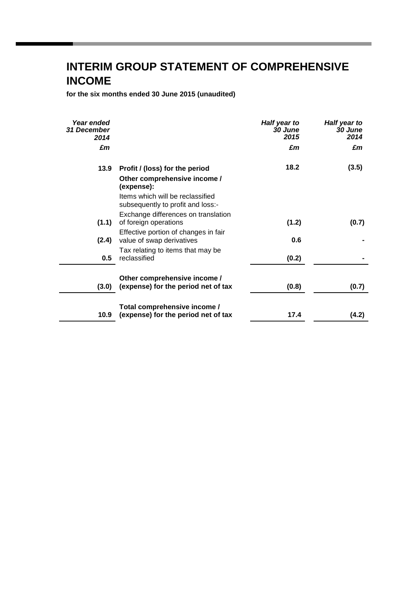## **INTERIM GROUP STATEMENT OF COMPREHENSIVE INCOME**

**for the six months ended 30 June 2015 (unaudited)**

| Year ended<br><b>31 December</b><br>2014 |                                                                       | Half year to<br>30 June<br>2015 | Half year to<br>30 June<br>2014 |
|------------------------------------------|-----------------------------------------------------------------------|---------------------------------|---------------------------------|
| £m                                       |                                                                       | £m                              | £m                              |
| 13.9                                     | Profit / (loss) for the period                                        | 18.2                            | (3.5)                           |
|                                          | Other comprehensive income /<br>(expense):                            |                                 |                                 |
|                                          | Items which will be reclassified<br>subsequently to profit and loss:- |                                 |                                 |
|                                          | Exchange differences on translation                                   |                                 |                                 |
| (1.1)                                    | of foreign operations                                                 | (1.2)                           | (0.7)                           |
| (2.4)                                    | Effective portion of changes in fair<br>value of swap derivatives     | 0.6                             |                                 |
| 0.5                                      | Tax relating to items that may be<br>reclassified                     | (0.2)                           |                                 |
|                                          |                                                                       |                                 |                                 |
| (3.0)                                    | Other comprehensive income /<br>(expense) for the period net of tax   | (0.8)                           | (0.7)                           |
|                                          | Total comprehensive income /                                          |                                 |                                 |
| 10.9                                     | (expense) for the period net of tax                                   | 17.4                            | (4.2)                           |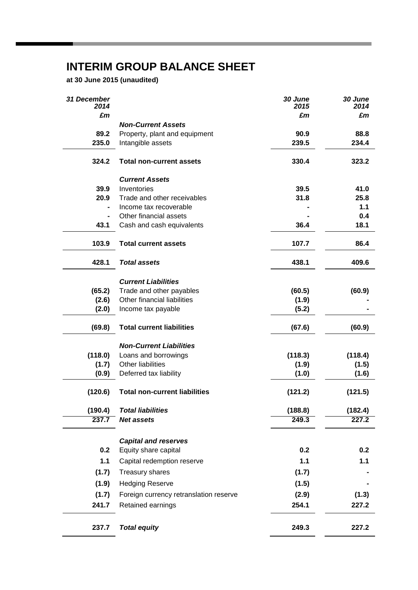## **INTERIM GROUP BALANCE SHEET**

**at 30 June 2015 (unaudited)**

| <b>31 December</b><br>2014 |                                        | 30 June<br>2015 | 30 June<br>2014 |
|----------------------------|----------------------------------------|-----------------|-----------------|
| £m                         |                                        | £m              | £m              |
|                            | <b>Non-Current Assets</b>              |                 |                 |
| 89.2                       | Property, plant and equipment          | 90.9            | 88.8            |
| 235.0                      | Intangible assets                      | 239.5           | 234.4           |
| 324.2                      | <b>Total non-current assets</b>        | 330.4           | 323.2           |
|                            | <b>Current Assets</b>                  |                 |                 |
| 39.9                       | Inventories                            | 39.5            | 41.0            |
| 20.9                       | Trade and other receivables            | 31.8            | 25.8            |
|                            | Income tax recoverable                 |                 | 1.1             |
|                            | Other financial assets                 |                 | 0.4             |
| 43.1                       | Cash and cash equivalents              | 36.4            | 18.1            |
| 103.9                      | <b>Total current assets</b>            | 107.7           | 86.4            |
| 428.1                      | <b>Total assets</b>                    | 438.1           | 409.6           |
|                            | <b>Current Liabilities</b>             |                 |                 |
| (65.2)                     | Trade and other payables               | (60.5)          | (60.9)          |
| (2.6)                      | Other financial liabilities            | (1.9)           |                 |
| (2.0)                      | Income tax payable                     | (5.2)           |                 |
| (69.8)                     | <b>Total current liabilities</b>       | (67.6)          | (60.9)          |
|                            | <b>Non-Current Liabilities</b>         |                 |                 |
| (118.0)                    | Loans and borrowings                   | (118.3)         | (118.4)         |
| (1.7)                      | Other liabilities                      | (1.9)           | (1.5)           |
| (0.9)                      | Deferred tax liability                 | (1.0)           | (1.6)           |
| (120.6)                    | <b>Total non-current liabilities</b>   | (121.2)         | (121.5)         |
| (190.4)                    | <b>Total liabilities</b>               | (188.8)         | (182.4)         |
| 237.7                      | <b>Net assets</b>                      | 249.3           | 227.2           |
|                            | <b>Capital and reserves</b>            |                 |                 |
| 0.2                        | Equity share capital                   | 0.2             | 0.2             |
| $1.1$                      | Capital redemption reserve             | 1.1             | $1.1$           |
| (1.7)                      | Treasury shares                        | (1.7)           |                 |
| (1.9)                      | <b>Hedging Reserve</b>                 | (1.5)           |                 |
| (1.7)                      | Foreign currency retranslation reserve | (2.9)           | (1.3)           |
| 241.7                      | Retained earnings                      | 254.1           | 227.2           |
| 237.7                      | <b>Total equity</b>                    | 249.3           | 227.2           |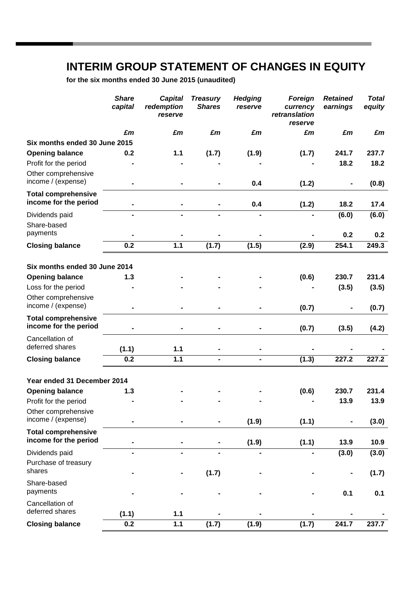## **INTERIM GROUP STATEMENT OF CHANGES IN EQUITY**

**for the six months ended 30 June 2015 (unaudited)**

|                                                     | <b>Share</b><br>capital | <b>Capital</b><br>redemption<br>reserve | <b>Treasury</b><br><b>Shares</b> | <b>Hedging</b><br>reserve | Foreign<br>currency<br>retranslation<br>reserve | <b>Retained</b><br>earnings | <b>Total</b><br>equity |
|-----------------------------------------------------|-------------------------|-----------------------------------------|----------------------------------|---------------------------|-------------------------------------------------|-----------------------------|------------------------|
|                                                     | £m                      | £m                                      | £m                               | £m                        | £m                                              | £m                          | £m                     |
| Six months ended 30 June 2015                       |                         |                                         |                                  |                           |                                                 |                             |                        |
| <b>Opening balance</b>                              | 0.2                     | $1.1$                                   | (1.7)                            | (1.9)                     | (1.7)                                           | 241.7                       | 237.7                  |
| Profit for the period                               |                         |                                         |                                  |                           |                                                 | 18.2                        | 18.2                   |
| Other comprehensive<br>income / (expense)           |                         |                                         |                                  | 0.4                       | (1.2)                                           |                             | (0.8)                  |
| <b>Total comprehensive</b><br>income for the period |                         |                                         |                                  | 0.4                       | (1.2)                                           | 18.2                        | 17.4                   |
| Dividends paid                                      |                         |                                         |                                  |                           |                                                 | (6.0)                       | (6.0)                  |
| Share-based                                         |                         |                                         |                                  |                           |                                                 |                             |                        |
| payments                                            |                         |                                         |                                  |                           |                                                 | 0.2                         | 0.2                    |
| <b>Closing balance</b>                              | 0.2                     | $1.1$                                   | (1.7)                            | (1.5)                     | (2.9)                                           | 254.1                       | 249.3                  |
|                                                     |                         |                                         |                                  |                           |                                                 |                             |                        |
| Six months ended 30 June 2014                       |                         |                                         |                                  |                           |                                                 |                             |                        |
| <b>Opening balance</b>                              | 1.3                     |                                         |                                  |                           | (0.6)                                           | 230.7                       | 231.4                  |
| Loss for the period                                 |                         |                                         |                                  |                           |                                                 | (3.5)                       | (3.5)                  |
| Other comprehensive                                 |                         |                                         |                                  |                           |                                                 |                             |                        |
| income / (expense)                                  |                         |                                         |                                  |                           | (0.7)                                           |                             | (0.7)                  |
| <b>Total comprehensive</b><br>income for the period |                         |                                         |                                  |                           | (0.7)                                           | (3.5)                       | (4.2)                  |
| Cancellation of                                     |                         |                                         |                                  |                           |                                                 |                             |                        |
| deferred shares                                     | (1.1)                   | $1.1$                                   |                                  |                           |                                                 |                             |                        |
| <b>Closing balance</b>                              | 0.2                     | 1.1                                     |                                  | $\blacksquare$            | (1.3)                                           | 227.2                       | 227.2                  |
| Year ended 31 December 2014                         |                         |                                         |                                  |                           |                                                 |                             |                        |
| <b>Opening balance</b>                              | 1.3                     |                                         |                                  |                           | (0.6)                                           | 230.7                       | 231.4                  |
| Profit for the period                               |                         |                                         |                                  |                           |                                                 | 13.9                        | 13.9                   |
| Other comprehensive                                 |                         |                                         |                                  |                           |                                                 |                             |                        |
| income / (expense)                                  |                         |                                         |                                  | (1.9)                     | (1.1)                                           |                             | (3.0)                  |
| <b>Total comprehensive</b>                          |                         |                                         |                                  |                           |                                                 |                             |                        |
| income for the period                               |                         |                                         |                                  | (1.9)                     | (1.1)                                           | 13.9                        | 10.9                   |
| Dividends paid                                      | $\blacksquare$          | $\blacksquare$                          |                                  |                           |                                                 | (3.0)                       | (3.0)                  |
| Purchase of treasury                                |                         |                                         |                                  |                           |                                                 |                             |                        |
| shares                                              |                         |                                         | (1.7)                            |                           |                                                 |                             | (1.7)                  |
| Share-based<br>payments                             |                         |                                         |                                  |                           |                                                 | 0.1                         | 0.1                    |
| Cancellation of                                     |                         |                                         |                                  |                           |                                                 |                             |                        |
| deferred shares                                     | (1.1)                   | $1.1$                                   |                                  |                           |                                                 |                             |                        |
| <b>Closing balance</b>                              | 0.2                     | $1.1$                                   | (1.7)                            | (1.9)                     | (1.7)                                           | 241.7                       | 237.7                  |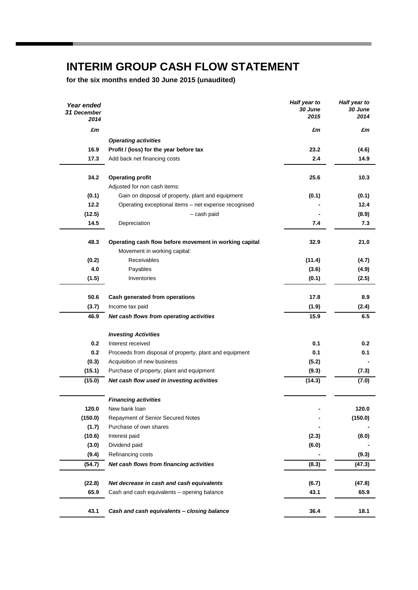## **INTERIM GROUP CASH FLOW STATEMENT**

**for the six months ended 30 June 2015 (unaudited)**

| Year ended<br>31 December<br>2014 |                                                         | Half year to<br>30 June<br>2015 | Half year to<br>30 June<br>2014 |
|-----------------------------------|---------------------------------------------------------|---------------------------------|---------------------------------|
| £m                                |                                                         | £m                              | £m                              |
|                                   | <b>Operating activities</b>                             |                                 |                                 |
| 16.9                              | Profit / (loss) for the year before tax                 | 23.2                            | (4.6)                           |
| 17.3                              | Add back net financing costs                            | 2.4                             | 14.9                            |
|                                   |                                                         |                                 |                                 |
| 34.2                              | <b>Operating profit</b>                                 | 25.6                            | 10.3                            |
|                                   | Adjusted for non cash items:                            |                                 |                                 |
| (0.1)                             | Gain on disposal of property, plant and equipment       | (0.1)                           | (0.1)                           |
| 12.2                              | Operating exceptional items - net expense recognised    |                                 | 12.4                            |
| (12.5)                            | - cash paid                                             |                                 | (8.9)                           |
| 14.5                              | Depreciation                                            | 7.4                             | 7.3                             |
|                                   |                                                         |                                 |                                 |
| 48.3                              | Operating cash flow before movement in working capital  | 32.9                            | 21.0                            |
|                                   | Movement in working capital:                            |                                 |                                 |
| (0.2)                             | Receivables                                             | (11.4)                          | (4.7)                           |
| 4.0                               | Payables                                                | (3.6)                           | (4.9)                           |
| (1.5)                             | Inventories                                             | (0.1)                           | (2.5)                           |
|                                   |                                                         |                                 |                                 |
| 50.6                              | Cash generated from operations                          | 17.8                            | 8.9                             |
| (3.7)                             | Income tax paid                                         | (1.9)                           | (2.4)                           |
| 46.9                              | Net cash flows from operating activities                | 15.9                            | 6.5                             |
|                                   |                                                         |                                 |                                 |
|                                   | <b>Investing Activities</b>                             |                                 |                                 |
| 0.2                               | Interest received                                       | 0.1                             | 0.2                             |
| 0.2                               | Proceeds from disposal of property, plant and equipment | 0.1                             | 0.1                             |
| (0.3)                             | Acquisition of new business                             | (5.2)                           |                                 |
| (15.1)                            | Purchase of property, plant and equipment               | (9.3)                           | (7.3)                           |
| (15.0)                            | Net cash flow used in investing activities              | (14.3)                          | (7.0)                           |
|                                   | <b>Financing activities</b>                             |                                 |                                 |
| 120.0                             | New bank loan                                           |                                 | 120.0                           |
| (150.0)                           | <b>Repayment of Senior Secured Notes</b>                |                                 | (150.0)                         |
| (1.7)                             | Purchase of own shares                                  |                                 |                                 |
| (10.6)                            | Interest paid                                           | (2.3)                           | (8.0)                           |
| (3.0)                             | Dividend paid                                           | (6.0)                           |                                 |
| (9.4)                             | Refinancing costs                                       |                                 | (9.3)                           |
| (54.7)                            | Net cash flows from financing activities                | (8.3)                           | (47.3)                          |
|                                   |                                                         |                                 |                                 |
| (22.8)                            | Net decrease in cash and cash equivalents               | (6.7)                           | (47.8)                          |
| 65.9                              | Cash and cash equivalents - opening balance             | 43.1                            | 65.9                            |
|                                   |                                                         |                                 |                                 |
| 43.1                              | Cash and cash equivalents - closing balance             | 36.4                            | 18.1                            |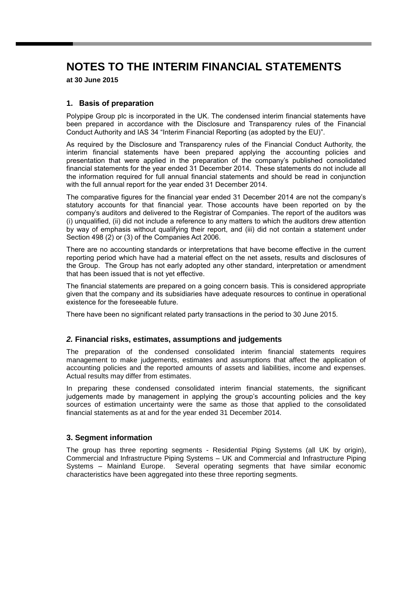**at 30 June 2015**

## **1. Basis of preparation**

Polypipe Group plc is incorporated in the UK. The condensed interim financial statements have been prepared in accordance with the Disclosure and Transparency rules of the Financial Conduct Authority and IAS 34 "Interim Financial Reporting (as adopted by the EU)".

As required by the Disclosure and Transparency rules of the Financial Conduct Authority, the interim financial statements have been prepared applying the accounting policies and presentation that were applied in the preparation of the company's published consolidated financial statements for the year ended 31 December 2014. These statements do not include all the information required for full annual financial statements and should be read in conjunction with the full annual report for the year ended 31 December 2014.

The comparative figures for the financial year ended 31 December 2014 are not the company's statutory accounts for that financial year. Those accounts have been reported on by the company's auditors and delivered to the Registrar of Companies. The report of the auditors was (i) unqualified, (ii) did not include a reference to any matters to which the auditors drew attention by way of emphasis without qualifying their report, and (iii) did not contain a statement under Section 498 (2) or (3) of the Companies Act 2006.

There are no accounting standards or interpretations that have become effective in the current reporting period which have had a material effect on the net assets, results and disclosures of the Group. The Group has not early adopted any other standard, interpretation or amendment that has been issued that is not yet effective.

The financial statements are prepared on a going concern basis. This is considered appropriate given that the company and its subsidiaries have adequate resources to continue in operational existence for the foreseeable future.

There have been no significant related party transactions in the period to 30 June 2015.

## *2.* **Financial risks, estimates, assumptions and judgements**

The preparation of the condensed consolidated interim financial statements requires management to make judgements, estimates and assumptions that affect the application of accounting policies and the reported amounts of assets and liabilities, income and expenses. Actual results may differ from estimates.

In preparing these condensed consolidated interim financial statements, the significant judgements made by management in applying the group's accounting policies and the key sources of estimation uncertainty were the same as those that applied to the consolidated financial statements as at and for the year ended 31 December 2014.

## **3. Segment information**

The group has three reporting segments - Residential Piping Systems (all UK by origin), Commercial and Infrastructure Piping Systems – UK and Commercial and Infrastructure Piping Systems – Mainland Europe. Several operating segments that have similar economic characteristics have been aggregated into these three reporting segments.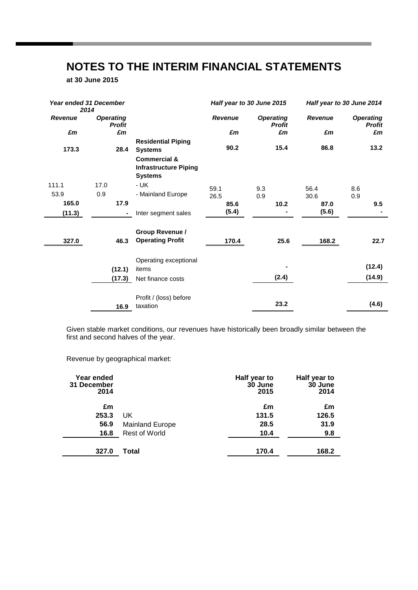**at 30 June 2015**

|                | <b>Year ended 31 December</b><br>2014 |                                                                           | Half year to 30 June 2015 |                                   | Half year to 30 June 2014 |                                   |
|----------------|---------------------------------------|---------------------------------------------------------------------------|---------------------------|-----------------------------------|---------------------------|-----------------------------------|
| <b>Revenue</b> | <b>Operating</b><br><b>Profit</b>     |                                                                           | <b>Revenue</b>            | <b>Operating</b><br><b>Profit</b> | Revenue                   | <b>Operating</b><br><b>Profit</b> |
| £m             | £m                                    |                                                                           | £m                        | £m                                | £m                        | £m                                |
| 173.3          | 28.4                                  | <b>Residential Piping</b><br><b>Systems</b>                               | 90.2                      | 15.4                              | 86.8                      | 13.2                              |
|                |                                       | <b>Commercial &amp;</b><br><b>Infrastructure Piping</b><br><b>Systems</b> |                           |                                   |                           |                                   |
| 111.1          | 17.0                                  | - UK                                                                      | 59.1                      | 9.3                               | 56.4                      | 8.6                               |
| 53.9           | 0.9                                   | - Mainland Europe                                                         | 26.5                      | 0.9                               | 30.6                      | 0.9                               |
| 165.0          | 17.9                                  |                                                                           | 85.6                      | 10.2                              | 87.0                      | 9.5                               |
| (11.3)         | ۰.                                    | Inter segment sales                                                       | (5.4)                     |                                   | (5.6)                     |                                   |
| 327.0          | 46.3                                  | <b>Group Revenue /</b><br><b>Operating Profit</b>                         | 170.4                     | 25.6                              | 168.2                     | 22.7                              |
|                |                                       | Operating exceptional                                                     |                           |                                   |                           |                                   |
|                | (12.1)                                | items                                                                     |                           |                                   |                           | (12.4)                            |
|                | (17.3)                                | Net finance costs                                                         |                           | (2.4)                             |                           | (14.9)                            |
|                | 16.9                                  | Profit / (loss) before<br>taxation                                        |                           | 23.2                              |                           | (4.6)                             |

Given stable market conditions, our revenues have historically been broadly similar between the first and second halves of the year.

Revenue by geographical market:

| Year ended<br>31 December<br>2014 |                        | Half year to<br>30 June<br>2015 | Half year to<br>30 June<br>2014 |
|-----------------------------------|------------------------|---------------------------------|---------------------------------|
| £m                                |                        | £m                              | £m                              |
| 253.3                             | UK.                    | 131.5                           | 126.5                           |
| 56.9                              | <b>Mainland Europe</b> | 28.5                            | 31.9                            |
| 16.8                              | <b>Rest of World</b>   | 10.4                            | 9.8                             |
| 327.0                             | Total                  | 170.4                           | 168.2                           |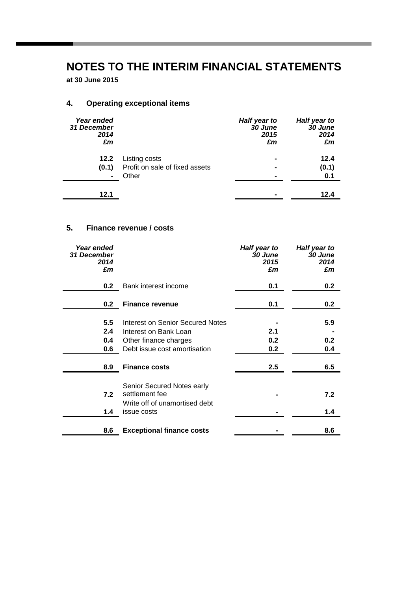**at 30 June 2015**

## **4. Operating exceptional items**

| Year ended<br>31 December<br>2014<br>£m |                                | Half year to<br>30 June<br>2015<br>£m | Half year to<br>30 June<br>2014<br>£m |
|-----------------------------------------|--------------------------------|---------------------------------------|---------------------------------------|
| 12.2                                    | Listing costs                  | $\blacksquare$                        | 12.4                                  |
| (0.1)                                   | Profit on sale of fixed assets | $\blacksquare$                        | (0.1)                                 |
| $\blacksquare$                          | Other                          | -                                     | 0.1                                   |
| 12.1                                    |                                | -                                     | 12.4                                  |

## **5. Finance revenue / costs**

| Year ended<br>31 December<br>2014 |                                  | Half year to<br>30 June<br>2015 | Half year to<br>30 June<br>2014 |
|-----------------------------------|----------------------------------|---------------------------------|---------------------------------|
| £m                                |                                  | £m                              | £m                              |
| 0.2                               | Bank interest income             | 0.1                             | 0.2                             |
| 0.2                               | <b>Finance revenue</b>           | 0.1                             | 0.2                             |
|                                   |                                  |                                 |                                 |
| 5.5                               | Interest on Senior Secured Notes |                                 | 5.9                             |
| 2.4                               | Interest on Bank Loan            | 2.1                             |                                 |
| 0.4                               | Other finance charges            | 0.2                             | 0.2 <sub>0</sub>                |
| 0.6                               | Debt issue cost amortisation     | 0.2                             | 0.4                             |
| 8.9                               | <b>Finance costs</b>             | 2.5                             | 6.5                             |
|                                   |                                  |                                 |                                 |
|                                   | Senior Secured Notes early       |                                 |                                 |
| 7.2                               | settlement fee                   |                                 | 7.2                             |
|                                   | Write off of unamortised debt    |                                 |                                 |
| 1.4                               | issue costs                      |                                 | 1.4                             |
|                                   |                                  |                                 |                                 |
| 8.6                               | <b>Exceptional finance costs</b> |                                 | 8.6                             |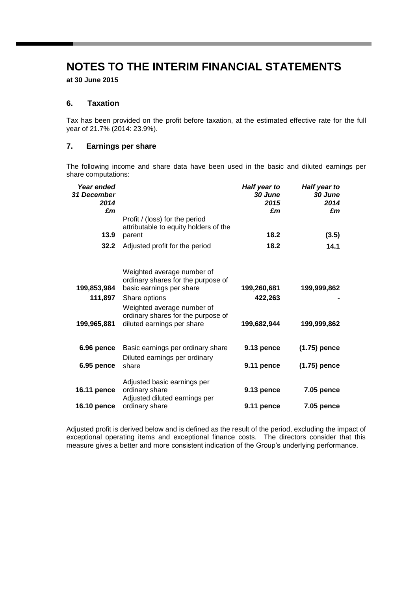**at 30 June 2015**

## **6. Taxation**

Tax has been provided on the profit before taxation, at the estimated effective rate for the full year of 21.7% (2014: 23.9%).

## **7. Earnings per share**

The following income and share data have been used in the basic and diluted earnings per share computations:

| Year ended<br>31 December<br>2014<br>£m              |                                                                         | Half year to<br><b>30 June</b><br>2015<br>£m | Half year to<br>30 June<br>2014<br>£m |
|------------------------------------------------------|-------------------------------------------------------------------------|----------------------------------------------|---------------------------------------|
|                                                      | Profit / (loss) for the period<br>attributable to equity holders of the |                                              |                                       |
| 13.9                                                 | parent                                                                  | 18.2                                         | (3.5)                                 |
| 32.2                                                 | Adjusted profit for the period                                          | 18.2                                         | 14.1                                  |
|                                                      | Weighted average number of<br>ordinary shares for the purpose of        |                                              |                                       |
| 199,853,984                                          | basic earnings per share                                                | 199,260,681                                  | 199,999,862                           |
| 111,897                                              | Share options                                                           | 422,263                                      |                                       |
|                                                      | Weighted average number of                                              |                                              |                                       |
| 199,965,881                                          | ordinary shares for the purpose of<br>diluted earnings per share        | 199,682,944                                  | 199,999,862                           |
| 6.96 pence                                           | Basic earnings per ordinary share                                       | 9.13 pence                                   | $(1.75)$ pence                        |
| Diluted earnings per ordinary<br>6.95 pence<br>share | 9.11 pence                                                              | $(1.75)$ pence                               |                                       |
|                                                      | Adjusted basic earnings per                                             |                                              |                                       |
| <b>16.11 pence</b>                                   | ordinary share<br>Adjusted diluted earnings per                         | 9.13 pence                                   | <b>7.05 pence</b>                     |
| <b>16.10 pence</b>                                   | ordinary share                                                          | 9.11 pence                                   | 7.05 pence                            |

Adjusted profit is derived below and is defined as the result of the period, excluding the impact of exceptional operating items and exceptional finance costs. The directors consider that this measure gives a better and more consistent indication of the Group's underlying performance.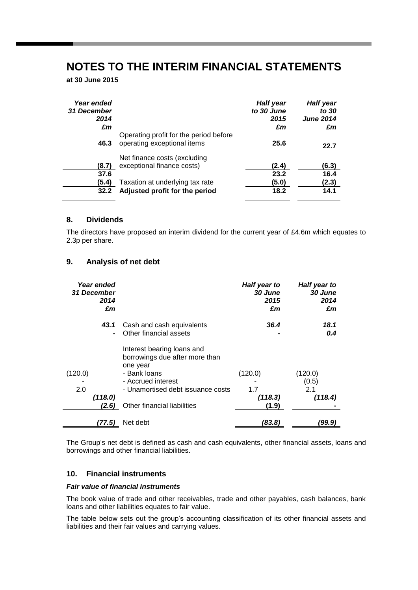**at 30 June 2015**

| Year ended<br>31 December<br>2014<br>£m |                                                                       | <b>Half year</b><br>to 30 June<br>2015<br>£m | <b>Half year</b><br>to 30<br><b>June 2014</b><br>£m |
|-----------------------------------------|-----------------------------------------------------------------------|----------------------------------------------|-----------------------------------------------------|
| 46.3                                    | Operating profit for the period before<br>operating exceptional items | 25.6                                         | 22.7                                                |
| (8.7)                                   | Net finance costs (excluding<br>exceptional finance costs)            | (2.4)                                        | (6.3)                                               |
| 37.6<br>(5.4)                           | Taxation at underlying tax rate                                       | 23.2<br>(5.0)                                | 16.4<br>(2.3)                                       |
| 32.2                                    | Adjusted profit for the period                                        | 18.2                                         | 14.1                                                |

### **8. Dividends**

The directors have proposed an interim dividend for the current year of £4.6m which equates to 2.3p per share.

## **9. Analysis of net debt**

| Year ended<br><b>31 December</b><br>2014<br>£m |                                                                                                                                                                                    | Half year to<br>30 June<br>2015<br>£m | Half year to<br>30 June<br>2014<br>£m |
|------------------------------------------------|------------------------------------------------------------------------------------------------------------------------------------------------------------------------------------|---------------------------------------|---------------------------------------|
| 43.1                                           | Cash and cash equivalents<br>Other financial assets                                                                                                                                | 36.4                                  | 18.1<br>0.4                           |
| (120.0)<br>2.0<br>(118.0)<br>(2.6)             | Interest bearing loans and<br>borrowings due after more than<br>one year<br>- Bank loans<br>- Accrued interest<br>- Unamortised debt issuance costs<br>Other financial liabilities | (120.0)<br>1.7<br>(118.3)<br>(1.9)    | (120.0)<br>(0.5)<br>2.1<br>(118.4)    |
| (77.5)                                         | Net debt                                                                                                                                                                           | (83.8)                                | (99.9)                                |

The Group's net debt is defined as cash and cash equivalents, other financial assets, loans and borrowings and other financial liabilities.

## **10. Financial instruments**

## *Fair value of financial instruments*

The book value of trade and other receivables, trade and other payables, cash balances, bank loans and other liabilities equates to fair value.

The table below sets out the group's accounting classification of its other financial assets and liabilities and their fair values and carrying values.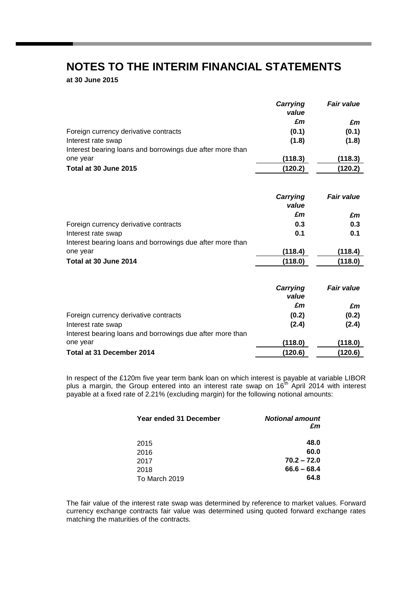**at 30 June 2015**

|                                                           | Carrying<br>value | <b>Fair value</b> |
|-----------------------------------------------------------|-------------------|-------------------|
|                                                           | £m                | £m                |
| Foreign currency derivative contracts                     | (0.1)             | (0.1)             |
| Interest rate swap                                        | (1.8)             | (1.8)             |
| Interest bearing loans and borrowings due after more than |                   |                   |
| one year                                                  | (118.3)           | (118.3)           |
| Total at 30 June 2015                                     | (120.2)           | (120.2)           |

|                                                           | Carrying<br>value | <b>Fair value</b> |
|-----------------------------------------------------------|-------------------|-------------------|
|                                                           | £m                | £m                |
| Foreign currency derivative contracts                     | 0.3               | 0.3               |
| Interest rate swap                                        | 0.1               | 0.1               |
| Interest bearing loans and borrowings due after more than |                   |                   |
| one year                                                  | (118.4)           | (118.4)           |
| Total at 30 June 2014                                     | (118.0)           | (118.0)           |

|                                                           | Carrying<br>value | <b>Fair value</b> |
|-----------------------------------------------------------|-------------------|-------------------|
|                                                           | £m                | £m                |
| Foreign currency derivative contracts                     | (0.2)             | (0.2)             |
| Interest rate swap                                        | (2.4)             | (2.4)             |
| Interest bearing loans and borrowings due after more than |                   |                   |
| one year                                                  | (118.0)           | (118.0)           |
| Total at 31 December 2014                                 | (120.6)           | (120.6)           |

In respect of the £120m five year term bank loan on which interest is payable at variable LIBOR plus a margin, the Group entered into an interest rate swap on 16<sup>th</sup> April 2014 with interest payable at a fixed rate of 2.21% (excluding margin) for the following notional amounts:

| Year ended 31 December | <b>Notional amount</b><br>£m |
|------------------------|------------------------------|
| 2015                   | 48.0                         |
| 2016                   | 60.0                         |
| 2017                   | $70.2 - 72.0$                |
| 2018                   | $66.6 - 68.4$                |
| To March 2019          | 64.8                         |

The fair value of the interest rate swap was determined by reference to market values. Forward currency exchange contracts fair value was determined using quoted forward exchange rates matching the maturities of the contracts.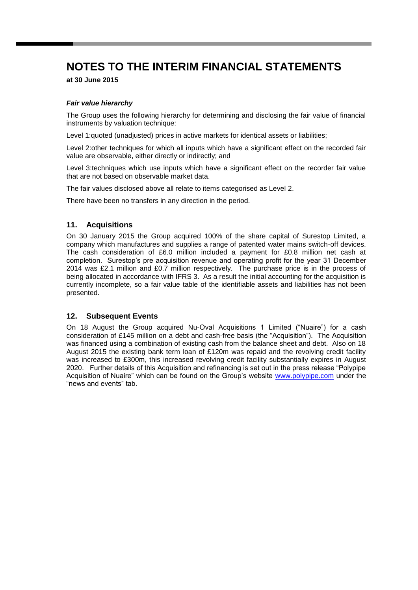**at 30 June 2015**

## *Fair value hierarchy*

The Group uses the following hierarchy for determining and disclosing the fair value of financial instruments by valuation technique:

Level 1:quoted (unadjusted) prices in active markets for identical assets or liabilities;

Level 2:other techniques for which all inputs which have a significant effect on the recorded fair value are observable, either directly or indirectly; and

Level 3:techniques which use inputs which have a significant effect on the recorder fair value that are not based on observable market data.

The fair values disclosed above all relate to items categorised as Level 2.

There have been no transfers in any direction in the period.

## **11. Acquisitions**

On 30 January 2015 the Group acquired 100% of the share capital of Surestop Limited, a company which manufactures and supplies a range of patented water mains switch-off devices. The cash consideration of £6.0 million included a payment for £0.8 million net cash at completion. Surestop's pre acquisition revenue and operating profit for the year 31 December 2014 was £2.1 million and £0.7 million respectively. The purchase price is in the process of being allocated in accordance with IFRS 3. As a result the initial accounting for the acquisition is currently incomplete, so a fair value table of the identifiable assets and liabilities has not been presented.

## **12. Subsequent Events**

On 18 August the Group acquired Nu-Oval Acquisitions 1 Limited ("Nuaire") for a cash consideration of £145 million on a debt and cash-free basis (the "Acquisition"). The Acquisition was financed using a combination of existing cash from the balance sheet and debt. Also on 18 August 2015 the existing bank term loan of £120m was repaid and the revolving credit facility was increased to £300m, this increased revolving credit facility substantially expires in August 2020. Further details of this Acquisition and refinancing is set out in the press release "Polypipe Acquisition of Nuaire" which can be found on the Group's website [www.polypipe.com](http://www.polypipe.com/) under the "news and events" tab.